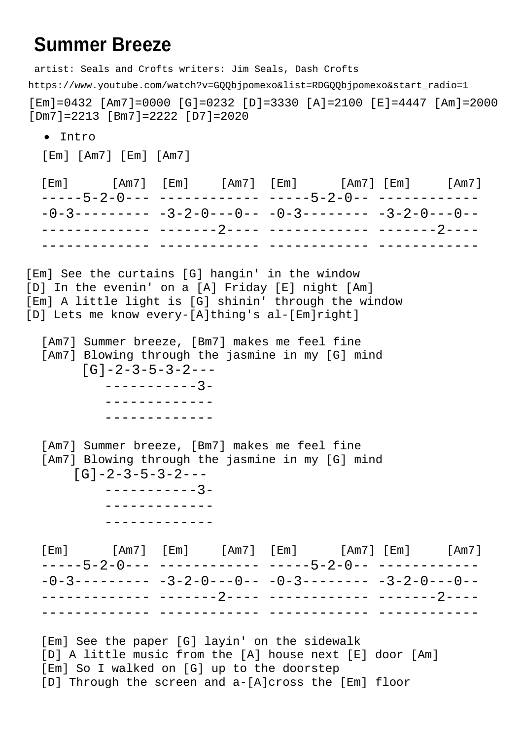## **Summer Breeze**

artist: Seals and Crofts writers: Jim Seals, Dash Crofts

https://www.youtube.com/watch?v=GQQbjpomexo&list=RDGQQbjpomexo&start\_radio=1

 $[Em]=0432$   $[Am7]=0000$   $[G]=0232$   $[D]=3330$   $[A]=2100$   $[E]=4447$   $[Am]=2000$ [Dm7]=2213 [Bm7]=2222 [D7]=2020

• Intro

[Em] [Am7] [Em] [Am7]

|  |  | $[Em]$ $[Am7]$ $[Em]$ $[Am7]$ $[Em]$ $[Am7]$ $[Em]$ $[Am7]$ $[Am7]$ |  |  |
|--|--|---------------------------------------------------------------------|--|--|
|  |  |                                                                     |  |  |
|  |  | $-0-3$ --------- -3-2-0---0-- -0-3-------- -3-2-0---0--             |  |  |
|  |  |                                                                     |  |  |
|  |  |                                                                     |  |  |

[Em] See the curtains [G] hangin' in the window [D] In the evenin' on a [A] Friday [E] night [Am] [Em] A little light is [G] shinin' through the window [D] Lets me know every-[A]thing's al-[Em]right]

[Am7] Summer breeze, [Bm7] makes me feel fine [Am7] Blowing through the jasmine in my [G] mind  $[G]-2-3-5-3-2---$ -----------3- ------------- -------------

[Am7] Summer breeze, [Bm7] makes me feel fine [Am7] Blowing through the jasmine in my [G] mind

 $[G]-2-3-5-3-2---$ -----------3- -------------

-------------

[Em] [Am7] [Em] [Am7] [Em] [Am7] [Em] [Am7]  $----5-2-0---$  ------------- ----5-2-0-- ----------- $-0-3$ ---------  $-3-2-0$ ---0--  $-0-3$ --------  $-3-2-0$ ---0--------------- -------2---- ------------ -------2---- ------------- ------------ ------------ ------------

[Em] See the paper [G] layin' on the sidewalk [D] A little music from the [A] house next [E] door [Am] [Em] So I walked on [G] up to the doorstep [D] Through the screen and a-[A]cross the [Em] floor